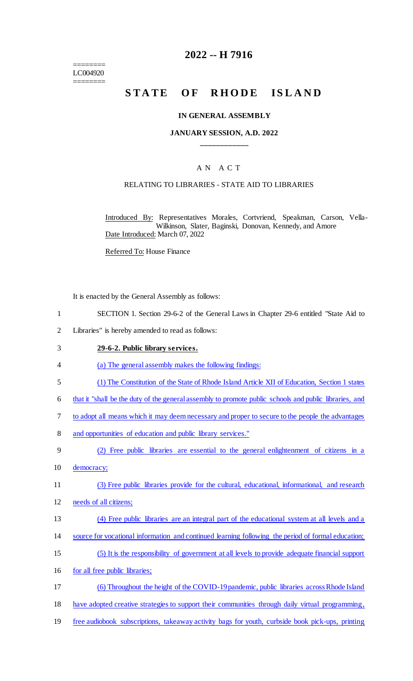======== LC004920 ========

## **2022 -- H 7916**

# STATE OF RHODE ISLAND

#### **IN GENERAL ASSEMBLY**

### **JANUARY SESSION, A.D. 2022 \_\_\_\_\_\_\_\_\_\_\_\_**

### A N A C T

### RELATING TO LIBRARIES - STATE AID TO LIBRARIES

Introduced By: Representatives Morales, Cortvriend, Speakman, Carson, Vella-Wilkinson, Slater, Baginski, Donovan, Kennedy, and Amore Date Introduced: March 07, 2022

Referred To: House Finance

It is enacted by the General Assembly as follows:

- 1 SECTION 1. Section 29-6-2 of the General Laws in Chapter 29-6 entitled "State Aid to
- 2 Libraries" is hereby amended to read as follows:

#### 3 **29-6-2. Public library services.**

- 4 (a) The general assembly makes the following findings:
- 5 (1) The Constitution of the State of Rhode Island Article XII of Education, Section 1 states
- 6 that it "shall be the duty of the general assembly to promote public schools and public libraries, and
- 7 to adopt all means which it may deem necessary and proper to secure to the people the advantages
- 8 and opportunities of education and public library services."
- 9 (2) Free public libraries are essential to the general enlightenment of citizens in a 10 democracy;
- 11 (3) Free public libraries provide for the cultural, educational, informational, and research
- 12 needs of all citizens;
- 13 (4) Free public libraries are an integral part of the educational system at all levels and a
- 14 source for vocational information and continued learning following the period of formal education;
- 15 (5) It is the responsibility of government at all levels to provide adequate financial support
- 16 for all free public libraries;
- 17 (6) Throughout the height of the COVID-19 pandemic, public libraries across Rhode Island 18 have adopted creative strategies to support their communities through daily virtual programming,
- 19 free audiobook subscriptions, takeaway activity bags for youth, curbside book pick-ups, printing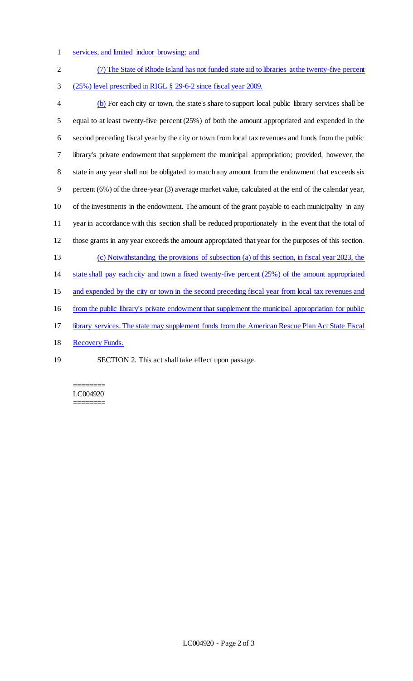1 services, and limited indoor browsing; and

| $\overline{2}$ | (7) The State of Rhode Island has not funded state aid to libraries at the twenty-five percent       |
|----------------|------------------------------------------------------------------------------------------------------|
| 3              | (25%) level prescribed in RIGL § 29-6-2 since fiscal year 2009.                                      |
| $\overline{4}$ | (b) For each city or town, the state's share to support local public library services shall be       |
| 5              | equal to at least twenty-five percent $(25%)$ of both the amount appropriated and expended in the    |
| 6              | second preceding fiscal year by the city or town from local tax revenues and funds from the public   |
| $\tau$         | library's private endowment that supplement the municipal appropriation; provided, however, the      |
| $8\,$          | state in any year shall not be obligated to match any amount from the endowment that exceeds six     |
| $\mathbf{9}$   | percent (6%) of the three-year (3) average market value, calculated at the end of the calendar year, |
| 10             | of the investments in the endowment. The amount of the grant payable to each municipality in any     |
| 11             | year in accordance with this section shall be reduced proportionately in the event that the total of |
| 12             | those grants in any year exceeds the amount appropriated that year for the purposes of this section. |
| 13             | (c) Notwithstanding the provisions of subsection (a) of this section, in fiscal year 2023, the       |
| 14             | state shall pay each city and town a fixed twenty-five percent (25%) of the amount appropriated      |
| 15             | and expended by the city or town in the second preceding fiscal year from local tax revenues and     |
| 16             | from the public library's private endowment that supplement the municipal appropriation for public   |
| 17             | library services. The state may supplement funds from the American Rescue Plan Act State Fiscal      |
| 18             | <b>Recovery Funds.</b>                                                                               |
| 19             | SECTION 2. This act shall take effect upon passage.                                                  |

======== LC004920 ========